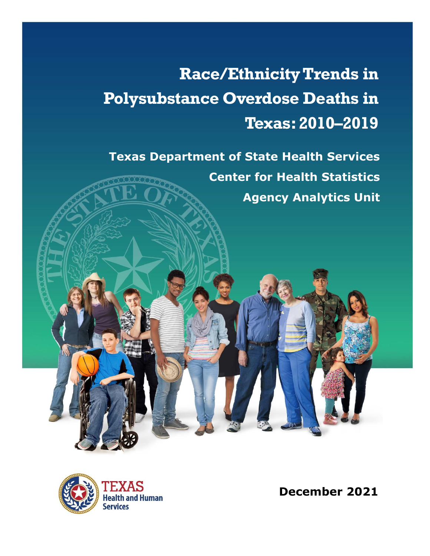# **Race/Ethnicity Trends in Polysubstance Overdose Deaths in Texas:2010–2019**

**Texas Department of State Health Services Center for Health Statistics Agency Analytics Unit**



**December 2021**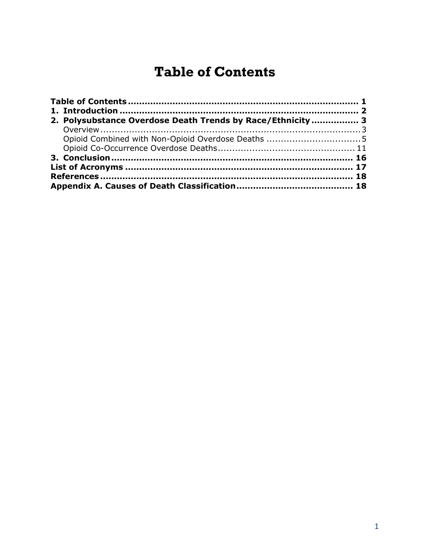# **Table of Contents**

<span id="page-1-0"></span>

|  | 2. Polysubstance Overdose Death Trends by Race/Ethnicity  3 |  |  |  |
|--|-------------------------------------------------------------|--|--|--|
|  |                                                             |  |  |  |
|  |                                                             |  |  |  |
|  |                                                             |  |  |  |
|  |                                                             |  |  |  |
|  |                                                             |  |  |  |
|  |                                                             |  |  |  |
|  |                                                             |  |  |  |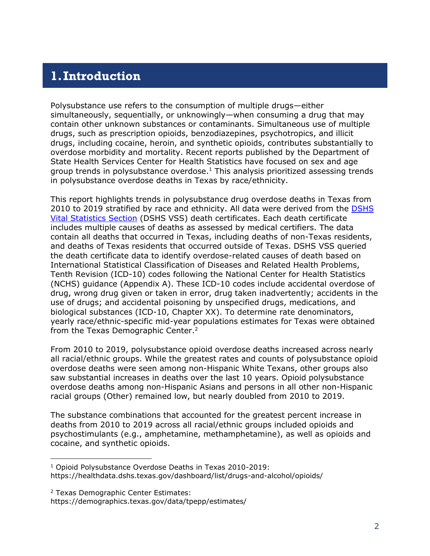#### <span id="page-2-0"></span>**1.Introduction**

Polysubstance use refers to the consumption of multiple drugs—either simultaneously, sequentially, or unknowingly—when consuming a drug that may contain other unknown substances or contaminants. Simultaneous use of multiple drugs, such as prescription opioids, benzodiazepines, psychotropics, and illicit drugs, including cocaine, heroin, and synthetic opioids, contributes substantially to overdose morbidity and mortality. Recent reports published by the Department of State Health Services Center for Health Statistics have focused on sex and age group trends in polysubstance overdose. <sup>1</sup> This analysis prioritized assessing trends in polysubstance overdose deaths in Texas by race/ethnicity.

This report highlights trends in polysubstance drug overdose deaths in Texas from 2010 to 2019 stratified by race and ethnicity. All data were derived from the DSHS [Vital Statistics Section](https://dshs.texas.gov/vs/default.aspx) (DSHS VSS) death certificates. Each death certificate includes multiple causes of deaths as assessed by medical certifiers. The data contain all deaths that occurred in Texas, including deaths of non-Texas residents, and deaths of Texas residents that occurred outside of Texas. DSHS VSS queried the death certificate data to identify overdose-related causes of death based on International Statistical Classification of Diseases and Related Health Problems, Tenth Revision (ICD-10) codes following the National Center for Health Statistics (NCHS) guidance (Appendix A). These ICD-10 codes include accidental overdose of drug, wrong drug given or taken in error, drug taken inadvertently; accidents in the use of drugs; and accidental poisoning by unspecified drugs, medications, and biological substances (ICD-10, Chapter XX). To determine rate denominators, yearly race/ethnic-specific mid-year populations estimates for Texas were obtained from the Texas Demographic Center.<sup>2</sup>

From 2010 to 2019, polysubstance opioid overdose deaths increased across nearly all racial/ethnic groups. While the greatest rates and counts of polysubstance opioid overdose deaths were seen among non-Hispanic White Texans, other groups also saw substantial increases in deaths over the last 10 years. Opioid polysubstance overdose deaths among non-Hispanic Asians and persons in all other non-Hispanic racial groups (Other) remained low, but nearly doubled from 2010 to 2019.

The substance combinations that accounted for the greatest percent increase in deaths from 2010 to 2019 across all racial/ethnic groups included opioids and psychostimulants (e.g., amphetamine, methamphetamine), as well as opioids and cocaine, and synthetic opioids.

<sup>1</sup> Opioid Polysubstance Overdose Deaths in Texas 2010-2019: https://healthdata.dshs.texas.gov/dashboard/list/drugs-and-alcohol/opioids/

<sup>2</sup> Texas Demographic Center Estimates: https://demographics.texas.gov/data/tpepp/estimates/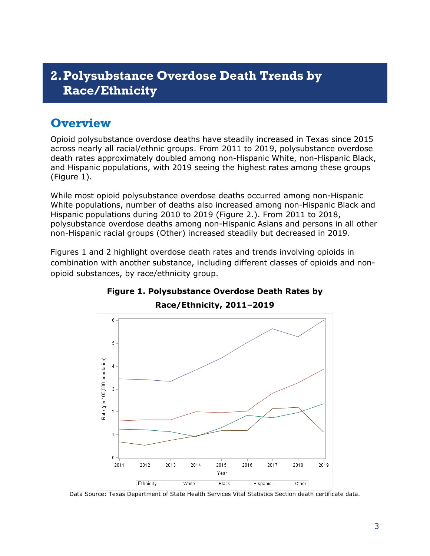## <span id="page-3-0"></span>**2.Polysubstance Overdose Death Trends by Race/Ethnicity**

## <span id="page-3-1"></span>**Overview**

Opioid polysubstance overdose deaths have steadily increased in Texas since 2015 across nearly all racial/ethnic groups. From 2011 to 2019, polysubstance overdose death rates approximately doubled among non-Hispanic White, non-Hispanic Black, and Hispanic populations, with 2019 seeing the highest rates among these groups (Figure 1).

While most opioid polysubstance overdose deaths occurred among non-Hispanic White populations, number of deaths also increased among non-Hispanic Black and Hispanic populations during 2010 to 2019 (Figure 2.). From 2011 to 2018, polysubstance overdose deaths among non-Hispanic Asians and persons in all other non-Hispanic racial groups (Other) increased steadily but decreased in 2019.

Figures 1 and 2 highlight overdose death rates and trends involving opioids in combination with another substance, including different classes of opioids and nonopioid substances, by race/ethnicity group.



## **Figure 1. Polysubstance Overdose Death Rates by**

**Race/Ethnicity, 2011–2019**

Data Source: Texas Department of State Health Services Vital Statistics Section death certificate data.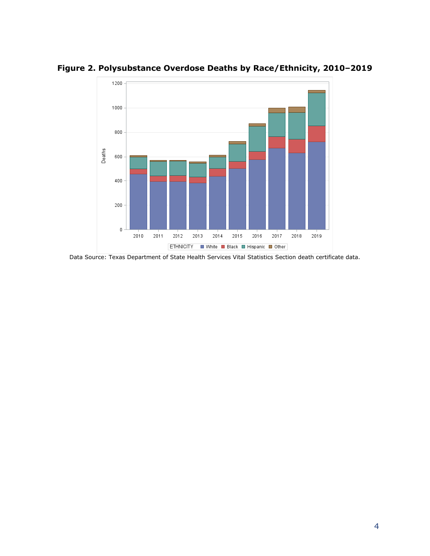

**Figure 2. Polysubstance Overdose Deaths by Race/Ethnicity, 2010–2019**

Data Source: Texas Department of State Health Services Vital Statistics Section death certificate data.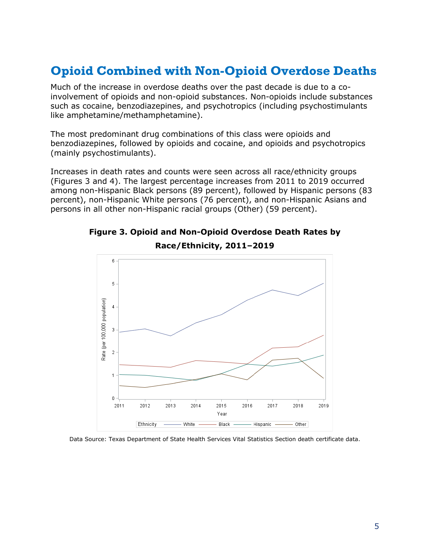## <span id="page-5-0"></span>**Opioid Combined with Non-Opioid Overdose Deaths**

Much of the increase in overdose deaths over the past decade is due to a coinvolvement of opioids and non-opioid substances. Non-opioids include substances such as cocaine, benzodiazepines, and psychotropics (including psychostimulants like amphetamine/methamphetamine).

The most predominant drug combinations of this class were opioids and benzodiazepines, followed by opioids and cocaine, and opioids and psychotropics (mainly psychostimulants).

Increases in death rates and counts were seen across all race/ethnicity groups (Figures 3 and 4). The largest percentage increases from 2011 to 2019 occurred among non-Hispanic Black persons (89 percent), followed by Hispanic persons (83 percent), non-Hispanic White persons (76 percent), and non-Hispanic Asians and persons in all other non-Hispanic racial groups (Other) (59 percent).



**Figure 3. Opioid and Non-Opioid Overdose Death Rates by Race/Ethnicity, 2011–2019**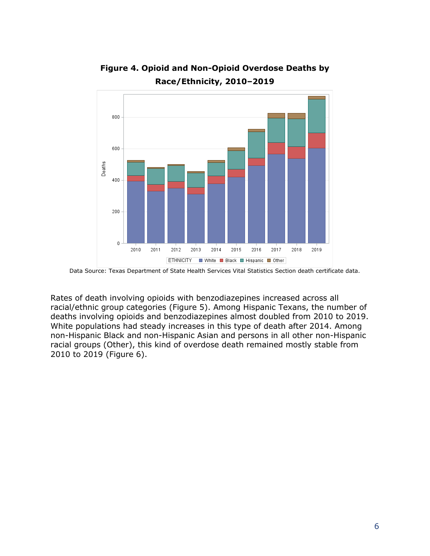

**Figure 4. Opioid and Non-Opioid Overdose Deaths by Race/Ethnicity, 2010–2019**

Rates of death involving opioids with benzodiazepines increased across all racial/ethnic group categories (Figure 5). Among Hispanic Texans, the number of deaths involving opioids and benzodiazepines almost doubled from 2010 to 2019. White populations had steady increases in this type of death after 2014. Among non-Hispanic Black and non-Hispanic Asian and persons in all other non-Hispanic racial groups (Other), this kind of overdose death remained mostly stable from 2010 to 2019 (Figure 6).

Data Source: Texas Department of State Health Services Vital Statistics Section death certificate data.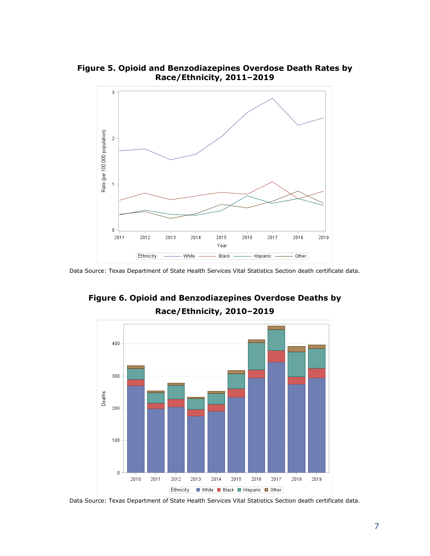

**Figure 5. Opioid and Benzodiazepines Overdose Death Rates by Race/Ethnicity, 2011–2019**

Data Source: Texas Department of State Health Services Vital Statistics Section death certificate data.



#### **Figure 6. Opioid and Benzodiazepines Overdose Deaths by Race/Ethnicity, 2010–2019**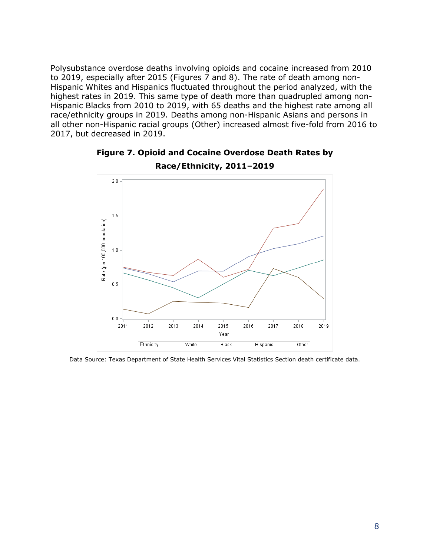Polysubstance overdose deaths involving opioids and cocaine increased from 2010 to 2019, especially after 2015 (Figures 7 and 8). The rate of death among non-Hispanic Whites and Hispanics fluctuated throughout the period analyzed, with the highest rates in 2019. This same type of death more than quadrupled among non-Hispanic Blacks from 2010 to 2019, with 65 deaths and the highest rate among all race/ethnicity groups in 2019. Deaths among non-Hispanic Asians and persons in all other non-Hispanic racial groups (Other) increased almost five-fold from 2016 to 2017, but decreased in 2019.



#### **Figure 7. Opioid and Cocaine Overdose Death Rates by Race/Ethnicity, 2011–2019**

Data Source: Texas Department of State Health Services Vital Statistics Section death certificate data.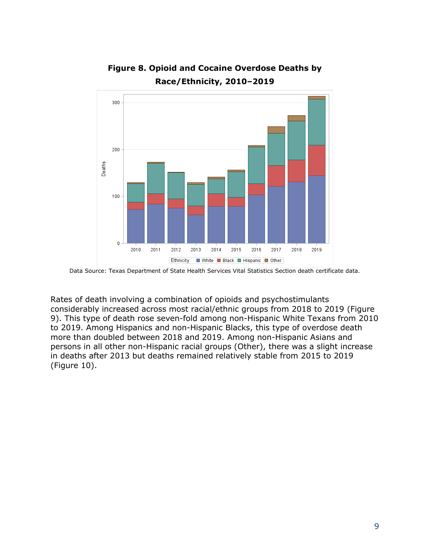

**Figure 8. Opioid and Cocaine Overdose Deaths by Race/Ethnicity, 2010–2019**

Rates of death involving a combination of opioids and psychostimulants considerably increased across most racial/ethnic groups from 2018 to 2019 (Figure 9). This type of death rose seven-fold among non-Hispanic White Texans from 2010 to 2019. Among Hispanics and non-Hispanic Blacks, this type of overdose death more than doubled between 2018 and 2019. Among non-Hispanic Asians and persons in all other non-Hispanic racial groups (Other), there was a slight increase in deaths after 2013 but deaths remained relatively stable from 2015 to 2019 (Figure 10).

Data Source: Texas Department of State Health Services Vital Statistics Section death certificate data.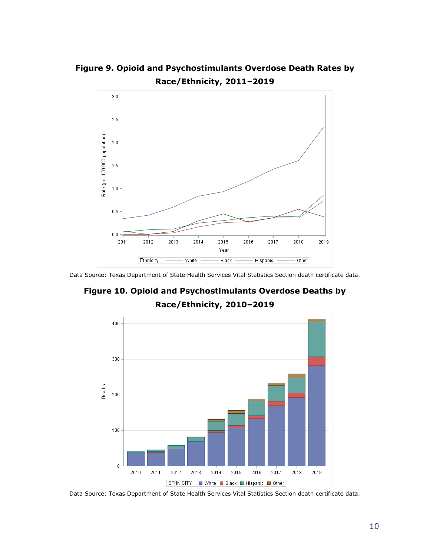**Figure 9. Opioid and Psychostimulants Overdose Death Rates by Race/Ethnicity, 2011–2019**



Data Source: Texas Department of State Health Services Vital Statistics Section death certificate data.

**Figure 10. Opioid and Psychostimulants Overdose Deaths by Race/Ethnicity, 2010–2019**

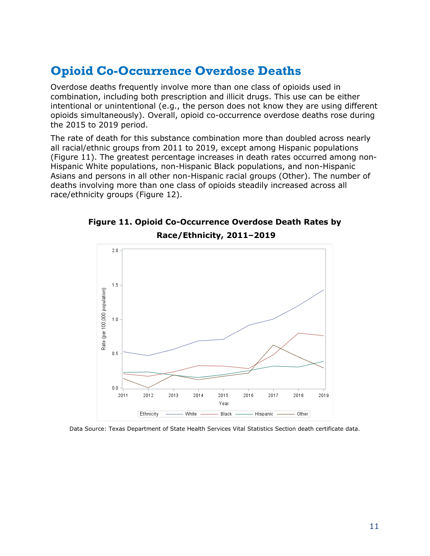### <span id="page-11-0"></span>**Opioid Co-Occurrence Overdose Deaths**

Overdose deaths frequently involve more than one class of opioids used in combination, including both prescription and illicit drugs. This use can be either intentional or unintentional (e.g., the person does not know they are using different opioids simultaneously). Overall, opioid co-occurrence overdose deaths rose during the 2015 to 2019 period.

The rate of death for this substance combination more than doubled across nearly all racial/ethnic groups from 2011 to 2019, except among Hispanic populations (Figure 11). The greatest percentage increases in death rates occurred among non-Hispanic White populations, non-Hispanic Black populations, and non-Hispanic Asians and persons in all other non-Hispanic racial groups (Other). The number of deaths involving more than one class of opioids steadily increased across all race/ethnicity groups (Figure 12).



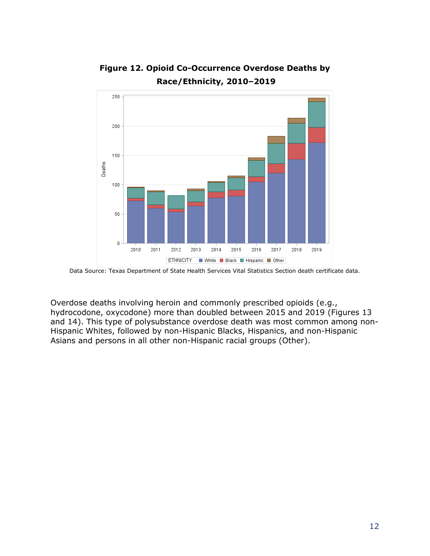

#### **Figure 12. Opioid Co-Occurrence Overdose Deaths by Race/Ethnicity, 2010–2019**

Overdose deaths involving heroin and commonly prescribed opioids (e.g., hydrocodone, oxycodone) more than doubled between 2015 and 2019 (Figures 13 and 14). This type of polysubstance overdose death was most common among non-Hispanic Whites, followed by non-Hispanic Blacks, Hispanics, and non-Hispanic Asians and persons in all other non-Hispanic racial groups (Other).

Data Source: Texas Department of State Health Services Vital Statistics Section death certificate data.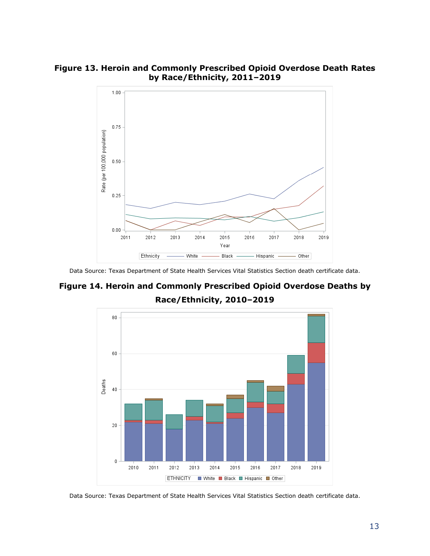**Figure 13. Heroin and Commonly Prescribed Opioid Overdose Death Rates by Race/Ethnicity, 2011–2019**



Data Source: Texas Department of State Health Services Vital Statistics Section death certificate data.

#### **Figure 14. Heroin and Commonly Prescribed Opioid Overdose Deaths by Race/Ethnicity, 2010–2019**



Data Source: Texas Department of State Health Services Vital Statistics Section death certificate data.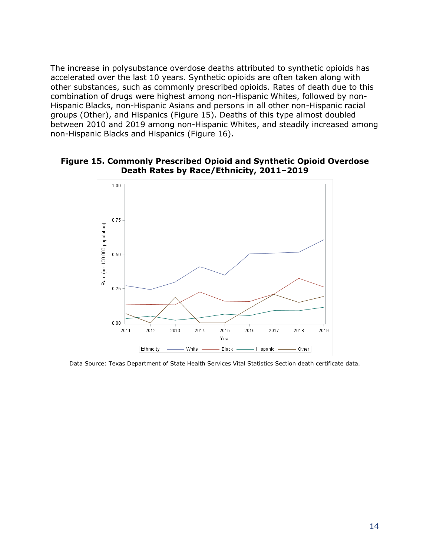The increase in polysubstance overdose deaths attributed to synthetic opioids has accelerated over the last 10 years. Synthetic opioids are often taken along with other substances, such as commonly prescribed opioids. Rates of death due to this combination of drugs were highest among non-Hispanic Whites, followed by non-Hispanic Blacks, non-Hispanic Asians and persons in all other non-Hispanic racial groups (Other), and Hispanics (Figure 15). Deaths of this type almost doubled between 2010 and 2019 among non-Hispanic Whites, and steadily increased among non-Hispanic Blacks and Hispanics (Figure 16).

#### **Figure 15. Commonly Prescribed Opioid and Synthetic Opioid Overdose Death Rates by Race/Ethnicity, 2011–2019**

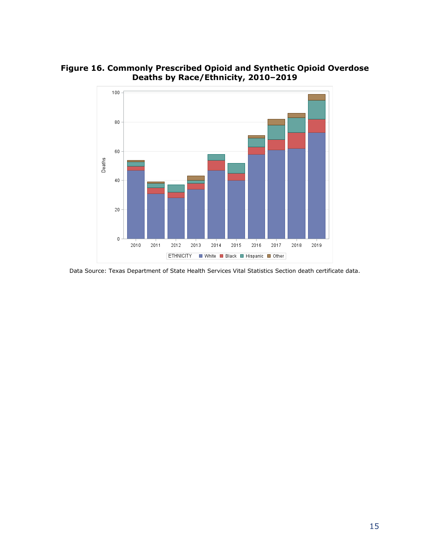**Figure 16. Commonly Prescribed Opioid and Synthetic Opioid Overdose Deaths by Race/Ethnicity, 2010–2019**



Data Source: Texas Department of State Health Services Vital Statistics Section death certificate data.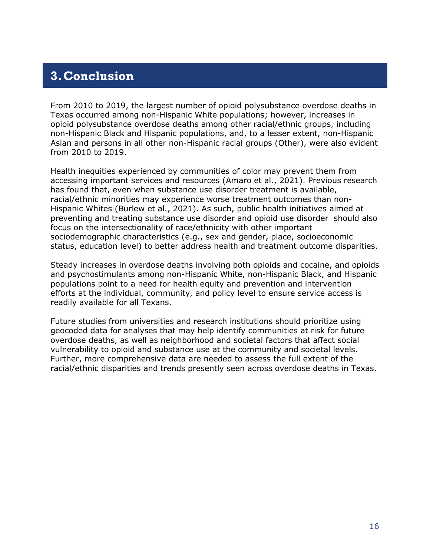## <span id="page-16-0"></span>**3.Conclusion**

From 2010 to 2019, the largest number of opioid polysubstance overdose deaths in Texas occurred among non-Hispanic White populations; however, increases in opioid polysubstance overdose deaths among other racial/ethnic groups, including non-Hispanic Black and Hispanic populations, and, to a lesser extent, non-Hispanic Asian and persons in all other non-Hispanic racial groups (Other), were also evident from 2010 to 2019.

Health inequities experienced by communities of color may prevent them from accessing important services and resources (Amaro et al., 2021). Previous research has found that, even when substance use disorder treatment is available, racial/ethnic minorities may experience worse treatment outcomes than non-Hispanic Whites (Burlew et al., 2021). As such, public health initiatives aimed at preventing and treating substance use disorder and opioid use disorder should also focus on the intersectionality of race/ethnicity with other important sociodemographic characteristics (e.g., sex and gender, place, socioeconomic status, education level) to better address health and treatment outcome disparities.

Steady increases in overdose deaths involving both opioids and cocaine, and opioids and psychostimulants among non-Hispanic White, non-Hispanic Black, and Hispanic populations point to a need for health equity and prevention and intervention efforts at the individual, community, and policy level to ensure service access is readily available for all Texans.

Future studies from universities and research institutions should prioritize using geocoded data for analyses that may help identify communities at risk for future overdose deaths, as well as neighborhood and societal factors that affect social vulnerability to opioid and substance use at the community and societal levels. Further, more comprehensive data are needed to assess the full extent of the racial/ethnic disparities and trends presently seen across overdose deaths in Texas.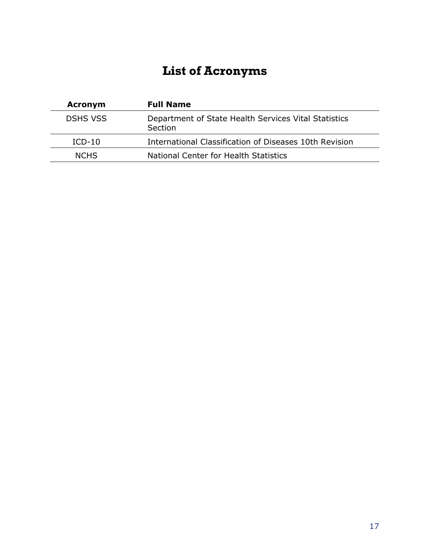# **List of Acronyms**

<span id="page-17-0"></span>

| <b>Acronym</b>  | <b>Full Name</b>                                                       |
|-----------------|------------------------------------------------------------------------|
| <b>DSHS VSS</b> | Department of State Health Services Vital Statistics<br><b>Section</b> |
| $ICD-10$        | International Classification of Diseases 10th Revision                 |
| <b>NCHS</b>     | National Center for Health Statistics                                  |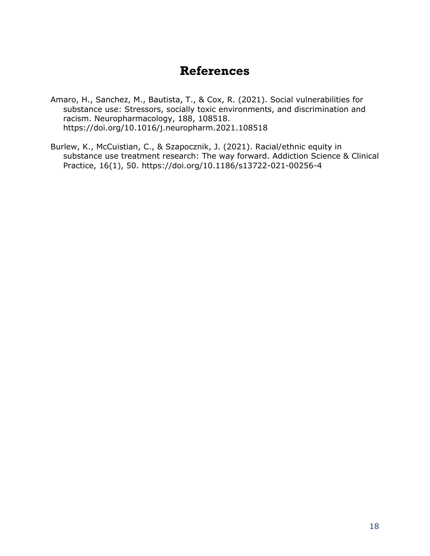#### **References**

- <span id="page-18-0"></span>Amaro, H., Sanchez, M., Bautista, T., & Cox, R. (2021). Social vulnerabilities for substance use: Stressors, socially toxic environments, and discrimination and racism. Neuropharmacology, 188, 108518. https://doi.org/10.1016/j.neuropharm.2021.108518
- Burlew, K., McCuistian, C., & Szapocznik, J. (2021). Racial/ethnic equity in substance use treatment research: The way forward. Addiction Science & Clinical Practice, 16(1), 50. https://doi.org/10.1186/s13722-021-00256-4